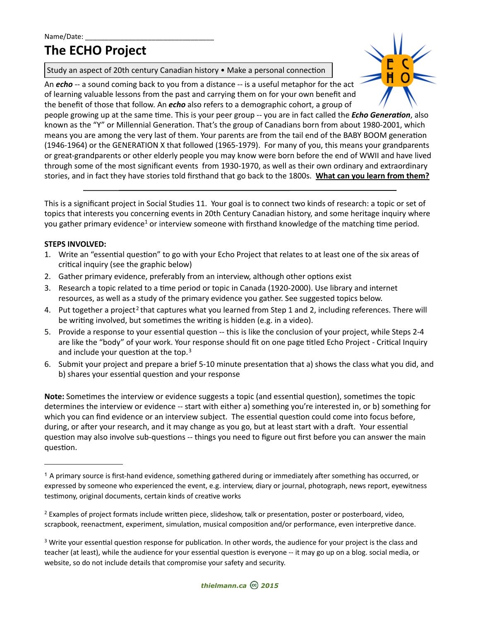# **The ECHO Project**

Study an aspect of 20th century Canadian history • Make a personal connection

An **echo** -- a sound coming back to you from a distance -- is a useful metaphor for the act of learning valuable lessons from the past and carrying them on for your own benefit and the benefit of those that follow. An **echo** also refers to a demographic cohort, a group of



people growing up at the same time. This is your peer group -- you are in fact called the *Echo Generation*, also known as the "Y" or Millennial Generation. That's the group of Canadians born from about 1980-2001, which means you are among the very last of them. Your parents are from the tail end of the BABY BOOM generation (1946-1964) or the GENERATION X that followed (1965-1979). For many of you, this means your grandparents or great-grandparents or other elderly people you may know were born before the end of WWII and have lived through some of the most significant events from 1930-1970, as well as their own ordinary and extraordinary stories, and in fact they have stories told firsthand that go back to the 1800s. What can you learn from them?

This is a significant project in Social Studies 11. Your goal is to connect two kinds of research: a topic or set of topics that interests you concerning events in 20th Century Canadian history, and some heritage inquiry where you gather primary evidence<sup>[1](#page-0-0)</sup> or interview someone with firsthand knowledge of the matching time period.

## **STEPS INVOLVED:**

- 1. Write an "essential question" to go with your Echo Project that relates to at least one of the six areas of critical inquiry (see the graphic below)
- 2. Gather primary evidence, preferably from an interview, although other options exist
- 3. Research a topic related to a time period or topic in Canada (1920-2000). Use library and internet resources, as well as a study of the primary evidence you gather. See suggested topics below.
- 4. Put together a project<sup>[2](#page-0-1)</sup> that captures what you learned from Step 1 and 2, including references. There will be writing involved, but sometimes the writing is hidden (e.g. in a video).
- 5. Provide a response to your essential question -- this is like the conclusion of your project, while Steps 2-4 are like the "body" of your work. Your response should fit on one page titled Echo Project - Critical Inquiry and include your question at the top.<sup>[3](#page-0-2)</sup>
- 6. Submit your project and prepare a brief 5-10 minute presentation that a) shows the class what you did, and b) shares your essential question and your response

Note: Sometimes the interview or evidence suggests a topic (and essential question), sometimes the topic determines the interview or evidence -- start with either a) something you're interested in, or b) something for which you can find evidence or an interview subject. The essential question could come into focus before, during, or after your research, and it may change as you go, but at least start with a draft. Your essential question may also involve sub-questions -- things you need to figure out first before you can answer the main question.

<span id="page-0-2"></span> $3$  Write your essential question response for publication. In other words, the audience for your project is the class and teacher (at least), while the audience for your essential question is everyone -- it may go up on a blog. social media, or website, so do not include details that compromise your safety and security.



<span id="page-0-0"></span> $1$  A primary source is first-hand evidence, something gathered during or immediately after something has occurred, or expressed by someone who experienced the event, e.g. interview, diary or journal, photograph, news report, eyewitness testimony, original documents, certain kinds of creative works

<span id="page-0-1"></span> $2$  Examples of project formats include written piece, slideshow, talk or presentation, poster or posterboard, video, scrapbook, reenactment, experiment, simulation, musical composition and/or performance, even interpretive dance.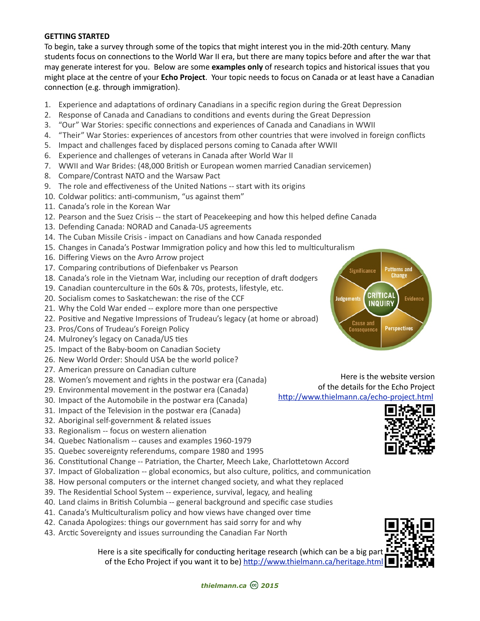#### **GETTING STARTED**

To begin, take a survey through some of the topics that might interest you in the mid-20th century. Many students focus on connections to the World War II era, but there are many topics before and after the war that may generate interest for you. Below are some **examples only** of research topics and historical issues that you might place at the centre of your **Echo Project**. Your topic needs to focus on Canada or at least have a Canadian connection (e.g. through immigration).

- 1. Experience and adaptations of ordinary Canadians in a specific region during the Great Depression
- 2. Response of Canada and Canadians to conditions and events during the Great Depression
- 3. "Our" War Stories: specific connections and experiences of Canada and Canadians in WWII
- 4. "Their" War Stories: experiences of ancestors from other countries that were involved in foreign conflicts
- 5. Impact and challenges faced by displaced persons coming to Canada after WWII
- 6. Experience and challenges of veterans in Canada after World War II
- 7. WWII and War Brides: (48,000 British or European women married Canadian servicemen)
- 8. Compare/Contrast NATO and the Warsaw Pact
- 9. The role and effectiveness of the United Nations -- start with its origins
- 10. Coldwar politics: anti-communism, "us against them"
- 11. Canada's role in the Korean War
- 12. Pearson and the Suez Crisis -- the start of Peacekeeping and how this helped define Canada
- 13. Defending Canada: NORAD and Canada-US agreements
- 14. The Cuban Missile Crisis impact on Canadians and how Canada responded
- 15. Changes in Canada's Postwar Immigration policy and how this led to multiculturalism
- 16. Differing Views on the Avro Arrow project
- 17. Comparing contributions of Diefenbaker vs Pearson
- 18. Canada's role in the Vietnam War, including our reception of draft dodgers
- 19. Canadian counterculture in the 60s & 70s, protests, lifestyle, etc.
- 20. Socialism comes to Saskatchewan: the rise of the CCF
- 21. Why the Cold War ended -- explore more than one perspective
- 22. Positive and Negative Impressions of Trudeau's legacy (at home or abroad)
- 23. Pros/Cons of Trudeau's Foreign Policy
- 24. Mulroney's legacy on Canada/US ties
- 25. Impact of the Baby-boom on Canadian Society
- 26. New World Order: Should USA be the world police?
- 27. American pressure on Canadian culture
- 28. Women's movement and rights in the postwar era (Canada)
- 29. Environmental movement in the postwar era (Canada)
- 30. Impact of the Automobile in the postwar era (Canada)
- 31. Impact of the Television in the postwar era (Canada)
- 32. Aboriginal self-government & related issues
- 33. Regionalism -- focus on western alienation
- 34. Quebec Nationalism -- causes and examples 1960-1979
- 35. Quebec sovereignty referendums, compare 1980 and 1995
- 36. Constitutional Change -- Patriation, the Charter, Meech Lake, Charlottetown Accord
- 37. Impact of Globalization -- global economics, but also culture, politics, and communication
- 38. How personal computers or the internet changed society, and what they replaced
- 39. The Residential School System -- experience, survival, legacy, and healing
- 40. Land claims in British Columbia -- general background and specific case studies
- 41. Canada's Multiculturalism policy and how views have changed over time
- 42. Canada Apologizes: things our government has said sorry for and why
- 43. Arctic Sovereignty and issues surrounding the Canadian Far North

Here is a site specifically for conducting heritage research (which can be a big part of the Echo Project if you want it to be) http://www.thielmann.ca/heritage.html



Here is the website version of the details for the Echo Project http://www.thielmann.ca/echo-project.html





*thielmann.ca 2015*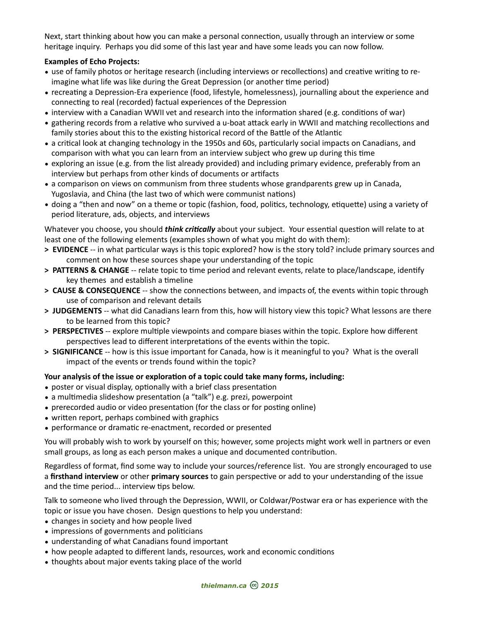Next, start thinking about how you can make a personal connection, usually through an interview or some heritage inquiry. Perhaps you did some of this last year and have some leads you can now follow.

## **Examples of Echo Projects:**

- use of family photos or heritage research (including interviews or recollections) and creative writing to reimagine what life was like during the Great Depression (or another time period)
- recreating a Depression-Era experience (food, lifestyle, homelessness), journalling about the experience and connecting to real (recorded) factual experiences of the Depression
- interview with a Canadian WWII vet and research into the information shared (e.g. conditions of war)
- gathering records from a relative who survived a u-boat attack early in WWII and matching recollections and family stories about this to the existing historical record of the Battle of the Atlantic
- a critical look at changing technology in the 1950s and 60s, particularly social impacts on Canadians, and comparison with what you can learn from an interview subject who grew up during this time
- exploring an issue (e.g. from the list already provided) and including primary evidence, preferably from an interview but perhaps from other kinds of documents or artifacts
- a comparison on views on communism from three students whose grandparents grew up in Canada, Yugoslavia, and China (the last two of which were communist nations)
- doing a "then and now" on a theme or topic (fashion, food, politics, technology, etiquette) using a variety of period literature, ads, objects, and interviews

Whatever you choose, you should *think critically* about your subject. Your essential question will relate to at least one of the following elements (examples shown of what you might do with them):

- > **EVIDENCE** -- in what particular ways is this topic explored? how is the story told? include primary sources and comment on how these sources shape your understanding of the topic
- > **PATTERNS & CHANGE** -- relate topic to time period and relevant events, relate to place/landscape, identify key themes and establish a timeline
- > **CAUSE & CONSEQUENCE** -- show the connections between, and impacts of, the events within topic through use of comparison and relevant details
- > **JUDGEMENTS** -- what did Canadians learn from this, how will history view this topic? What lessons are there to be learned from this topic?
- > PERSPECTIVES -- explore multiple viewpoints and compare biases within the topic. Explore how different perspectives lead to different interpretations of the events within the topic.
- > **SIGNIFICANCE** -- how is this issue important for Canada, how is it meaningful to you? What is the overall impact of the events or trends found within the topic?

#### Your analysis of the issue or exploration of a topic could take many forms, including:

- poster or visual display, optionally with a brief class presentation
- a multimedia slideshow presentation (a "talk") e.g. prezi, powerpoint
- prerecorded audio or video presentation (for the class or for posting online)
- written report, perhaps combined with graphics
- performance or dramatic re-enactment, recorded or presented

You will probably wish to work by yourself on this; however, some projects might work well in partners or even small groups, as long as each person makes a unique and documented contribution.

Regardless of format, find some way to include your sources/reference list. You are strongly encouraged to use a **firsthand interview** or other **primary sources** to gain perspective or add to your understanding of the issue and the time period... interview tips below.

Talk to someone who lived through the Depression, WWII, or Coldwar/Postwar era or has experience with the topic or issue you have chosen. Design questions to help you understand:

- changes in society and how people lived
- impressions of governments and politicians
- understanding of what Canadians found important
- how people adapted to different lands, resources, work and economic conditions
- thoughts about major events taking place of the world